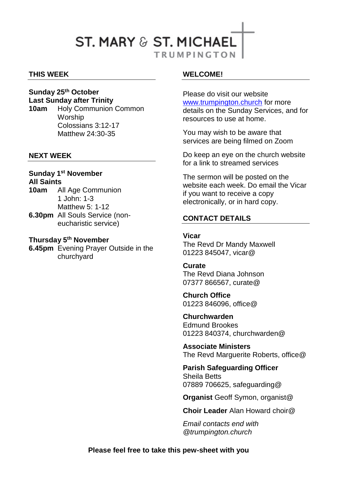# **ST. MARY & ST. MICHAEL TRUMPINGTON**

#### **THIS WEEK**

#### **Sunday 25th October Last Sunday after Trinity**

**10am** Holy Communion Common Worship Colossians 3:12-17 Matthew 24:30-35

#### **NEXT WEEK**

#### **Sunday 1 st November All Saints**

- **10am** All Age Communion 1 John: 1-3 Matthew 5: 1-12
- **6.30pm** All Souls Service (noneucharistic service)

#### **Thursday 5th November**

**6.45pm** Evening Prayer Outside in the churchyard

#### **WELCOME!**

Please do visit our website [www.trumpington.church](http://www.trumpington.church/) for more details on the Sunday Services, and for resources to use at home.

You may wish to be aware that services are being filmed on Zoom

Do keep an eye on the church website for a link to streamed services

The sermon will be posted on the website each week. Do email the Vicar if you want to receive a copy electronically, or in hard copy.

### **CONTACT DETAILS**

**Vicar** The Revd Dr Mandy Maxwell 01223 845047, vicar@

#### **Curate**

The Revd Diana Johnson 07377 866567, curate@

**Church Office**  01223 846096, office@

**Churchwarden** Edmund Brookes 01223 840374, churchwarden@

**Associate Ministers** The Revd Marguerite Roberts, office@

**Parish Safeguarding Officer** Sheila Betts 07889 706625, safeguarding@

**Organist** Geoff Symon, organist@

**Choir Leader** Alan Howard choir@

*Email contacts end with @trumpington.church*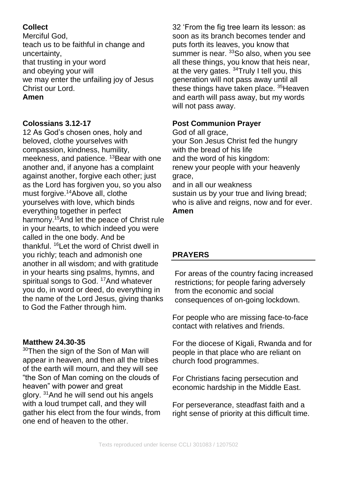## **Collect**

Merciful God, teach us to be faithful in change and uncertainty, that trusting in your word and obeying your will we may enter the unfailing joy of Jesus Christ our Lord. **Amen**

## **Colossians 3.12-17**

12 As God's chosen ones, holy and beloved, clothe yourselves with compassion, kindness, humility, meekness, and patience. <sup>13</sup> Bear with one another and, if anyone has a complaint against another, forgive each other; just as the Lord has forgiven you, so you also must forgive.<sup>14</sup>Above all, clothe yourselves with love, which binds everything together in perfect harmony.<sup>15</sup>And let the peace of Christ rule in your hearts, to which indeed you were called in the one body. And be thankful. <sup>16</sup>Let the word of Christ dwell in you richly; teach and admonish one another in all wisdom; and with gratitude in your hearts sing psalms, hymns, and spiritual songs to God. <sup>17</sup>And whatever you do, in word or deed, do everything in the name of the Lord Jesus, giving thanks to God the Father through him.

## **Matthew 24.30-35**

30Then the sign of the Son of Man will appear in heaven, and then all the tribes of the earth will mourn, and they will see "the Son of Man coming on the clouds of heaven" with power and great glory. <sup>31</sup>And he will send out his angels with a loud trumpet call, and they will gather his elect from the four winds, from one end of heaven to the other.

32 'From the fig tree learn its lesson: as soon as its branch becomes tender and puts forth its leaves, you know that summer is near,  $33$ So also, when you see all these things, you know that heis near, at the very gates.  $34$ Truly I tell you, this generation will not pass away until all these things have taken place. <sup>35</sup>Heaven and earth will pass away, but my words will not pass away.

## **Post Communion Prayer**

God of all grace, your Son Jesus Christ fed the hungry with the bread of his life and the word of his kingdom: renew your people with your heavenly grace, and in all our weakness sustain us by your true and living bread; who is alive and reigns, now and for ever. **Amen**

## **PRAYERS**

For areas of the country facing increased restrictions; for people faring adversely from the economic and social consequences of on-going lockdown.

For people who are missing face-to-face contact with relatives and friends.

For the diocese of Kigali, Rwanda and for people in that place who are reliant on church food programmes.

For Christians facing persecution and economic hardship in the Middle East.

For perseverance, steadfast faith and a right sense of priority at this difficult time.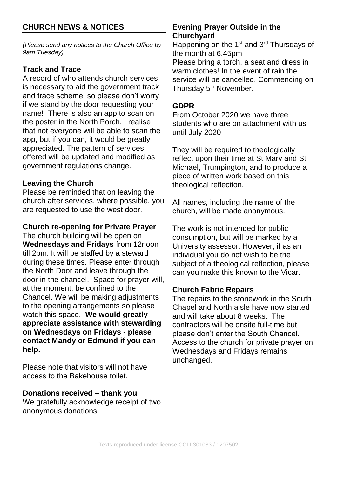## **CHURCH NEWS & NOTICES**

*(Please send any notices to the Church Office by 9am Tuesday)*

## **Track and Trace**

A record of who attends church services is necessary to aid the government track and trace scheme, so please don't worry if we stand by the door requesting your name! There is also an app to scan on the poster in the North Porch. I realise that not everyone will be able to scan the app, but if you can, it would be greatly appreciated. The pattern of services offered will be updated and modified as government regulations change.

## **Leaving the Church**

Please be reminded that on leaving the church after services, where possible, you are requested to use the west door.

## **Church re-opening for Private Prayer**

The church building will be open on **Wednesdays and Fridays** from 12noon till 2pm. It will be staffed by a steward during these times. Please enter through the North Door and leave through the door in the chancel. Space for prayer will, at the moment, be confined to the Chancel. We will be making adjustments to the opening arrangements so please watch this space. **We would greatly appreciate assistance with stewarding on Wednesdays on Fridays - please contact Mandy or Edmund if you can help.**

Please note that visitors will not have access to the Bakehouse toilet.

### **Donations received – thank you**

We gratefully acknowledge receipt of two anonymous donations

## **Evening Prayer Outside in the Churchyard**

Happening on the 1<sup>st</sup> and 3<sup>rd</sup> Thursdays of the month at 6.45pm Please bring a torch, a seat and dress in warm clothes! In the event of rain the service will be cancelled. Commencing on Thursday 5<sup>th</sup> November.

## **GDPR**

From October 2020 we have three students who are on attachment with us until July 2020

They will be required to theologically reflect upon their time at St Mary and St Michael, Trumpington, and to produce a piece of written work based on this theological reflection.

All names, including the name of the church, will be made anonymous.

The work is not intended for public consumption, but will be marked by a University assessor. However, if as an individual you do not wish to be the subject of a theological reflection, please can you make this known to the Vicar.

### **Church Fabric Repairs**

The repairs to the stonework in the South Chapel and North aisle have now started and will take about 8 weeks. The contractors will be onsite full-time but please don't enter the South Chancel. Access to the church for private prayer on Wednesdays and Fridays remains unchanged.